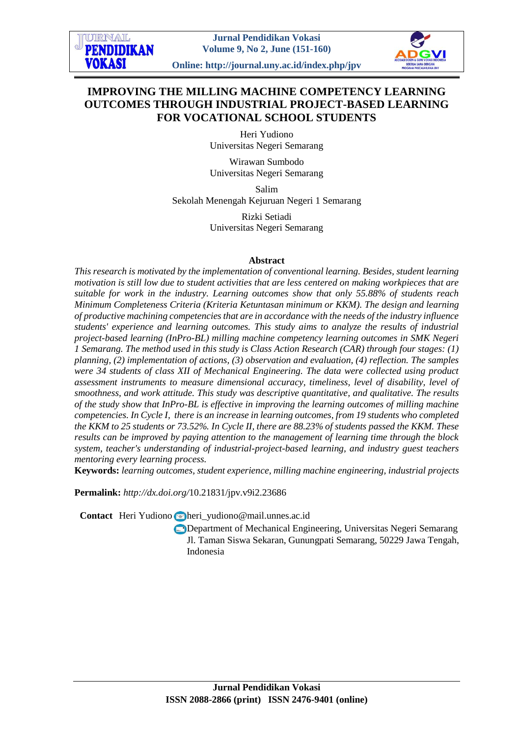**Online: http://journal.uny.ac.id/index.php/jpv**



# **IMPROVING THE MILLING MACHINE COMPETENCY LEARNING OUTCOMES THROUGH INDUSTRIAL PROJECT-BASED LEARNING FOR VOCATIONAL SCHOOL STUDENTS**

Heri Yudiono Universitas Negeri Semarang

Wirawan Sumbodo Universitas Negeri Semarang

Salim Sekolah Menengah Kejuruan Negeri 1 Semarang

> Rizki Setiadi Universitas Negeri Semarang

### **Abstract**

*This research is motivated by the implementation of conventional learning. Besides, student learning motivation is still low due to student activities that are less centered on making workpieces that are suitable for work in the industry. Learning outcomes show that only 55.88% of students reach Minimum Completeness Criteria (Kriteria Ketuntasan minimum or KKM). The design and learning of productive machining competencies that are in accordance with the needs of the industry influence students' experience and learning outcomes. This study aims to analyze the results of industrial project-based learning (InPro-BL) milling machine competency learning outcomes in SMK Negeri 1 Semarang. The method used in this study is Class Action Research (CAR) through four stages: (1) planning, (2) implementation of actions, (3) observation and evaluation, (4) reflection. The samples were 34 students of class XII of Mechanical Engineering. The data were collected using product assessment instruments to measure dimensional accuracy, timeliness, level of disability, level of smoothness, and work attitude. This study was descriptive quantitative, and qualitative. The results of the study show that InPro-BL is effective in improving the learning outcomes of milling machine competencies. In Cycle I, there is an increase in learning outcomes, from 19 students who completed the KKM to 25 students or 73.52%. In Cycle II, there are 88.23% of students passed the KKM. These results can be improved by paying attention to the management of learning time through the block system, teacher's understanding of industrial-project-based learning, and industry guest teachers mentoring every learning process.*

**Keywords:** *learning outcomes, student experience, milling machine engineering, industrial projects*

**Permalink:** *http://dx.doi.org/*[10.21831/jpv.v9i2.23686](http://dx.doi.org/10.21831/jpv.v9i2.23686)

Contact Heri Yudiono heri\_yudiono@mail.unnes.ac.id

Department of Mechanical Engineering, Universitas Negeri Semarang Jl. Taman Siswa Sekaran, Gunungpati Semarang, 50229 Jawa Tengah, Indonesia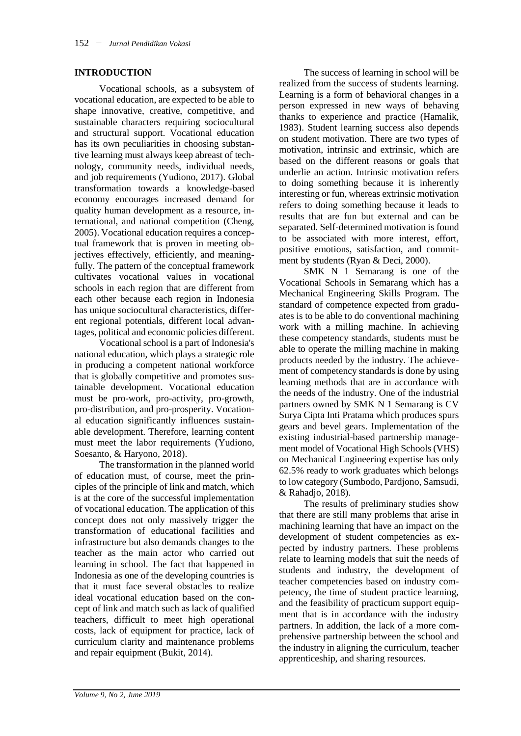### **INTRODUCTION**

Vocational schools, as a subsystem of vocational education, are expected to be able to shape innovative, creative, competitive, and sustainable characters requiring sociocultural and structural support. Vocational education has its own peculiarities in choosing substantive learning must always keep abreast of technology, community needs, individual needs, and job requirements (Yudiono, 2017). Global transformation towards a knowledge-based economy encourages increased demand for quality human development as a resource, international, and national competition (Cheng, 2005). Vocational education requires a conceptual framework that is proven in meeting objectives effectively, efficiently, and meaningfully. The pattern of the conceptual framework cultivates vocational values in vocational schools in each region that are different from each other because each region in Indonesia has unique sociocultural characteristics, different regional potentials, different local advantages, political and economic policies different.

Vocational school is a part of Indonesia's national education, which plays a strategic role in producing a competent national workforce that is globally competitive and promotes sustainable development. Vocational education must be pro-work, pro-activity, pro-growth, pro-distribution, and pro-prosperity. Vocational education significantly influences sustainable development. Therefore, learning content must meet the labor requirements (Yudiono, Soesanto, & Haryono, 2018).

The transformation in the planned world of education must, of course, meet the principles of the principle of link and match, which is at the core of the successful implementation of vocational education. The application of this concept does not only massively trigger the transformation of educational facilities and infrastructure but also demands changes to the teacher as the main actor who carried out learning in school. The fact that happened in Indonesia as one of the developing countries is that it must face several obstacles to realize ideal vocational education based on the concept of link and match such as lack of qualified teachers, difficult to meet high operational costs, lack of equipment for practice, lack of curriculum clarity and maintenance problems and repair equipment (Bukit, 2014).

The success of learning in school will be realized from the success of students learning. Learning is a form of behavioral changes in a person expressed in new ways of behaving thanks to experience and practice (Hamalik, 1983). Student learning success also depends on student motivation. There are two types of motivation, intrinsic and extrinsic, which are based on the different reasons or goals that underlie an action. Intrinsic motivation refers to doing something because it is inherently interesting or fun, whereas extrinsic motivation refers to doing something because it leads to results that are fun but external and can be separated. Self-determined motivation is found to be associated with more interest, effort, positive emotions, satisfaction, and commitment by students (Ryan & Deci, 2000).

SMK N 1 Semarang is one of the Vocational Schools in Semarang which has a Mechanical Engineering Skills Program. The standard of competence expected from graduates is to be able to do conventional machining work with a milling machine. In achieving these competency standards, students must be able to operate the milling machine in making products needed by the industry. The achievement of competency standards is done by using learning methods that are in accordance with the needs of the industry. One of the industrial partners owned by SMK N 1 Semarang is CV Surya Cipta Inti Pratama which produces spurs gears and bevel gears. Implementation of the existing industrial-based partnership management model of Vocational High Schools (VHS) on Mechanical Engineering expertise has only 62.5% ready to work graduates which belongs to low category (Sumbodo, Pardjono, Samsudi, & Rahadjo, 2018).

The results of preliminary studies show that there are still many problems that arise in machining learning that have an impact on the development of student competencies as expected by industry partners. These problems relate to learning models that suit the needs of students and industry, the development of teacher competencies based on industry competency, the time of student practice learning, and the feasibility of practicum support equipment that is in accordance with the industry partners. In addition, the lack of a more comprehensive partnership between the school and the industry in aligning the curriculum, teacher apprenticeship, and sharing resources.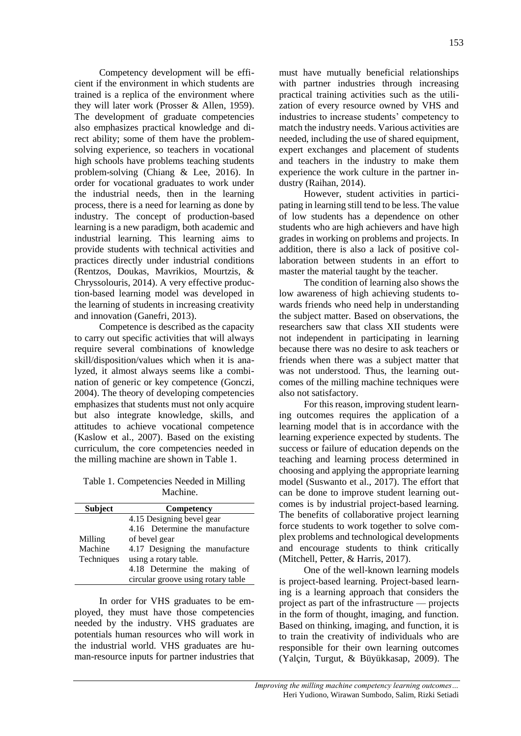Competency development will be efficient if the environment in which students are trained is a replica of the environment where they will later work (Prosser & Allen, 1959). The development of graduate competencies also emphasizes practical knowledge and direct ability; some of them have the problemsolving experience, so teachers in vocational high schools have problems teaching students problem-solving (Chiang & Lee, 2016). In order for vocational graduates to work under the industrial needs, then in the learning process, there is a need for learning as done by industry. The concept of production-based learning is a new paradigm, both academic and industrial learning. This learning aims to provide students with technical activities and practices directly under industrial conditions (Rentzos, Doukas, Mavrikios, Mourtzis, & Chryssolouris, 2014). A very effective production-based learning model was developed in the learning of students in increasing creativity and innovation (Ganefri, 2013).

Competence is described as the capacity to carry out specific activities that will always require several combinations of knowledge skill/disposition/values which when it is analyzed, it almost always seems like a combination of generic or key competence (Gonczi, 2004). The theory of developing competencies emphasizes that students must not only acquire but also integrate knowledge, skills, and attitudes to achieve vocational competence (Kaslow et al., 2007). Based on the existing curriculum, the core competencies needed in the milling machine are shown in Table 1.

Table 1. Competencies Needed in Milling Machine.

| <b>Subject</b> | Competency                         |  |  |
|----------------|------------------------------------|--|--|
|                | 4.15 Designing bevel gear          |  |  |
|                | 4.16 Determine the manufacture     |  |  |
| Milling        | of bevel gear                      |  |  |
| Machine        | 4.17 Designing the manufacture     |  |  |
| Techniques     | using a rotary table.              |  |  |
|                | 4.18 Determine the making of       |  |  |
|                | circular groove using rotary table |  |  |

In order for VHS graduates to be employed, they must have those competencies needed by the industry. VHS graduates are potentials human resources who will work in the industrial world. VHS graduates are human-resource inputs for partner industries that

must have mutually beneficial relationships with partner industries through increasing practical training activities such as the utilization of every resource owned by VHS and industries to increase students' competency to match the industry needs. Various activities are needed, including the use of shared equipment, expert exchanges and placement of students and teachers in the industry to make them experience the work culture in the partner industry (Raihan, 2014).

However, student activities in participating in learning still tend to be less. The value of low students has a dependence on other students who are high achievers and have high grades in working on problems and projects. In addition, there is also a lack of positive collaboration between students in an effort to master the material taught by the teacher.

The condition of learning also shows the low awareness of high achieving students towards friends who need help in understanding the subject matter. Based on observations, the researchers saw that class XII students were not independent in participating in learning because there was no desire to ask teachers or friends when there was a subject matter that was not understood. Thus, the learning outcomes of the milling machine techniques were also not satisfactory.

For this reason, improving student learning outcomes requires the application of a learning model that is in accordance with the learning experience expected by students. The success or failure of education depends on the teaching and learning process determined in choosing and applying the appropriate learning model (Suswanto et al., 2017). The effort that can be done to improve student learning outcomes is by industrial project-based learning. The benefits of collaborative project learning force students to work together to solve complex problems and technological developments and encourage students to think critically (Mitchell, Petter, & Harris, 2017).

One of the well-known learning models is project-based learning. Project-based learning is a learning approach that considers the project as part of the infrastructure — projects in the form of thought, imaging, and function. Based on thinking, imaging, and function, it is to train the creativity of individuals who are responsible for their own learning outcomes (Yalçin, Turgut, & Büyükkasap, 2009). The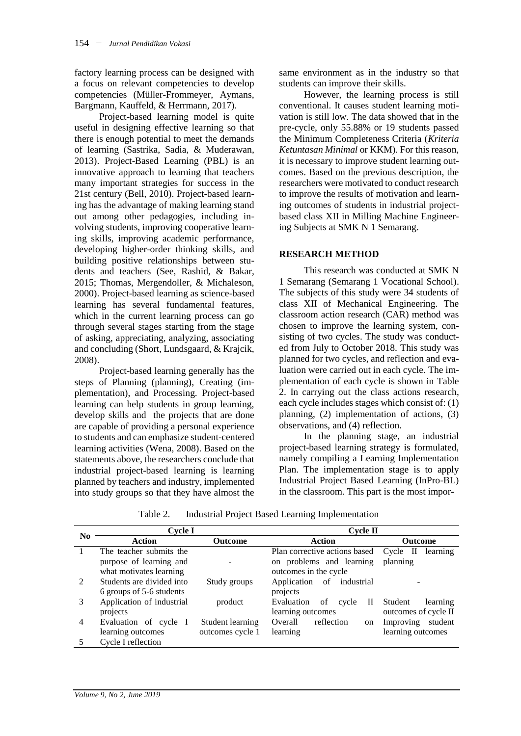factory learning process can be designed with a focus on relevant competencies to develop competencies (Müller-Frommeyer, Aymans, Bargmann, Kauffeld, & Herrmann, 2017).

Project-based learning model is quite useful in designing effective learning so that there is enough potential to meet the demands of learning (Sastrika, Sadia, & Muderawan, 2013). Project-Based Learning (PBL) is an innovative approach to learning that teachers many important strategies for success in the 21st century (Bell, 2010). Project-based learning has the advantage of making learning stand out among other pedagogies, including involving students, improving cooperative learning skills, improving academic performance, developing higher-order thinking skills, and building positive relationships between students and teachers (See, Rashid, & Bakar, 2015; Thomas, Mergendoller, & Michaleson, 2000). Project-based learning as science-based learning has several fundamental features, which in the current learning process can go through several stages starting from the stage of asking, appreciating, analyzing, associating and concluding (Short, Lundsgaard, & Krajcik, 2008).

Project-based learning generally has the steps of Planning (planning), Creating (implementation), and Processing. Project-based learning can help students in group learning, develop skills and the projects that are done are capable of providing a personal experience to students and can emphasize student-centered learning activities (Wena, 2008). Based on the statements above, the researchers conclude that industrial project-based learning is learning planned by teachers and industry, implemented into study groups so that they have almost the

same environment as in the industry so that students can improve their skills.

However, the learning process is still conventional. It causes student learning motivation is still low. The data showed that in the pre-cycle, only 55.88% or 19 students passed the Minimum Completeness Criteria (*Kriteria Ketuntasan Minimal* or KKM). For this reason, it is necessary to improve student learning outcomes. Based on the previous description, the researchers were motivated to conduct research to improve the results of motivation and learning outcomes of students in industrial projectbased class XII in Milling Machine Engineering Subjects at SMK N 1 Semarang.

# **RESEARCH METHOD**

This research was conducted at SMK N 1 Semarang (Semarang 1 Vocational School). The subjects of this study were 34 students of class XII of Mechanical Engineering. The classroom action research (CAR) method was chosen to improve the learning system, consisting of two cycles. The study was conducted from July to October 2018. This study was planned for two cycles, and reflection and evaluation were carried out in each cycle. The implementation of each cycle is shown in Table 2. In carrying out the class actions research, each cycle includes stages which consist of: (1) planning, (2) implementation of actions, (3) observations, and (4) reflection.

In the planning stage, an industrial project-based learning strategy is formulated, namely compiling a Learning Implementation Plan. The implementation stage is to apply Industrial Project Based Learning (InPro-BL) in the classroom. This part is the most impor-

| N <sub>0</sub>              | Cycle I                   |                  | Cycle II                               |                      |
|-----------------------------|---------------------------|------------------|----------------------------------------|----------------------|
|                             | <b>Action</b>             | Outcome          | <b>Action</b>                          | <b>Outcome</b>       |
|                             | The teacher submits the   |                  | Plan corrective actions based Cycle II | learning             |
|                             | purpose of learning and   |                  | on problems and learning               | planning             |
|                             | what motivates learning   |                  | outcomes in the cycle                  |                      |
| $\mathcal{D}_{\mathcal{L}}$ | Students are divided into | Study groups     | Application<br>of<br>industrial        |                      |
|                             | 6 groups of 5-6 students  |                  | projects                               |                      |
| 3                           | Application of industrial | product          | Evaluation<br>п<br>οf<br>cycle         | Student<br>learning  |
|                             | projects                  |                  | learning outcomes                      | outcomes of cycle II |
| 4                           | Evaluation of cycle I     | Student learning | reflection<br>Overall<br><sub>on</sub> | Improving<br>student |
|                             | learning outcomes         | outcomes cycle 1 | learning                               | learning outcomes    |
|                             | Cycle I reflection        |                  |                                        |                      |

Table 2. Industrial Project Based Learning Implementation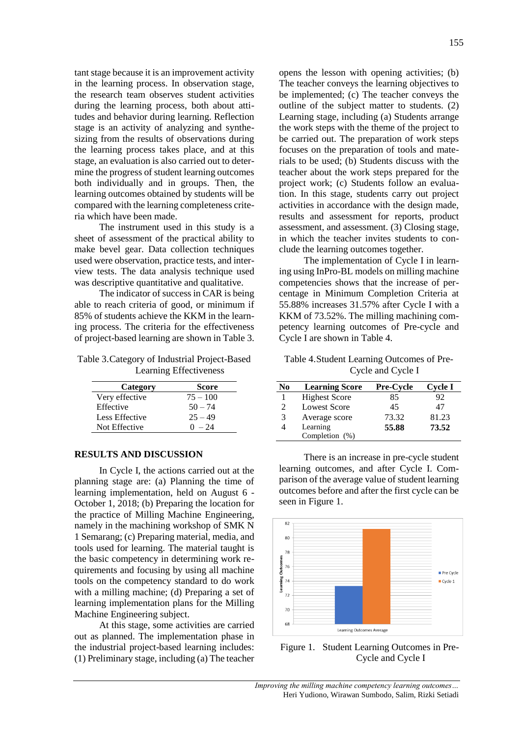tant stage because it is an improvement activity in the learning process. In observation stage, the research team observes student activities during the learning process, both about attitudes and behavior during learning. Reflection stage is an activity of analyzing and synthesizing from the results of observations during the learning process takes place, and at this stage, an evaluation is also carried out to determine the progress of student learning outcomes both individually and in groups. Then, the learning outcomes obtained by students will be compared with the learning completeness criteria which have been made.

The instrument used in this study is a sheet of assessment of the practical ability to make bevel gear. Data collection techniques used were observation, practice tests, and interview tests. The data analysis technique used was descriptive quantitative and qualitative.

The indicator of success in CAR is being able to reach criteria of good, or minimum if 85% of students achieve the KKM in the learning process. The criteria for the effectiveness of project-based learning are shown in Table 3.

Table 3.Category of Industrial Project-Based Learning Effectiveness

| Category       | Score      |
|----------------|------------|
| Very effective | $75 - 100$ |
| Effective      | $50 - 74$  |
| Less Effective | $25 - 49$  |
| Not Effective  | $0 - 24$   |

#### **RESULTS AND DISCUSSION**

In Cycle I, the actions carried out at the planning stage are: (a) Planning the time of learning implementation, held on August 6 - October 1, 2018; (b) Preparing the location for the practice of Milling Machine Engineering, namely in the machining workshop of SMK N 1 Semarang; (c) Preparing material, media, and tools used for learning. The material taught is the basic competency in determining work requirements and focusing by using all machine tools on the competency standard to do work with a milling machine; (d) Preparing a set of learning implementation plans for the Milling Machine Engineering subject.

At this stage, some activities are carried out as planned. The implementation phase in the industrial project-based learning includes: (1) Preliminary stage, including (a) The teacher

opens the lesson with opening activities; (b) The teacher conveys the learning objectives to be implemented; (c) The teacher conveys the outline of the subject matter to students. (2) Learning stage, including (a) Students arrange the work steps with the theme of the project to be carried out. The preparation of work steps focuses on the preparation of tools and materials to be used; (b) Students discuss with the teacher about the work steps prepared for the project work; (c) Students follow an evaluation. In this stage, students carry out project activities in accordance with the design made, results and assessment for reports, product assessment, and assessment. (3) Closing stage, in which the teacher invites students to conclude the learning outcomes together.

The implementation of Cycle I in learning using InPro-BL models on milling machine competencies shows that the increase of percentage in Minimum Completion Criteria at 55.88% increases 31.57% after Cycle I with a KKM of 73.52%. The milling machining competency learning outcomes of Pre-cycle and Cycle I are shown in Table 4.

Table 4.Student Learning Outcomes of Pre-Cycle and Cycle I

| No | <b>Learning Score</b> | <b>Pre-Cycle</b> | <b>Cycle I</b> |
|----|-----------------------|------------------|----------------|
|    | <b>Highest Score</b>  | 85               | 92             |
| 2  | <b>Lowest Score</b>   | 45               | 47             |
| 3  | Average score         | 73.32            | 81.23          |
|    | Learning              | 55.88            | 73.52          |
|    | Completion (%)        |                  |                |

There is an increase in pre-cycle student learning outcomes, and after Cycle I. Comparison of the average value of student learning outcomes before and after the first cycle can be seen in Figure 1.



Figure 1. Student Learning Outcomes in Pre-Cycle and Cycle I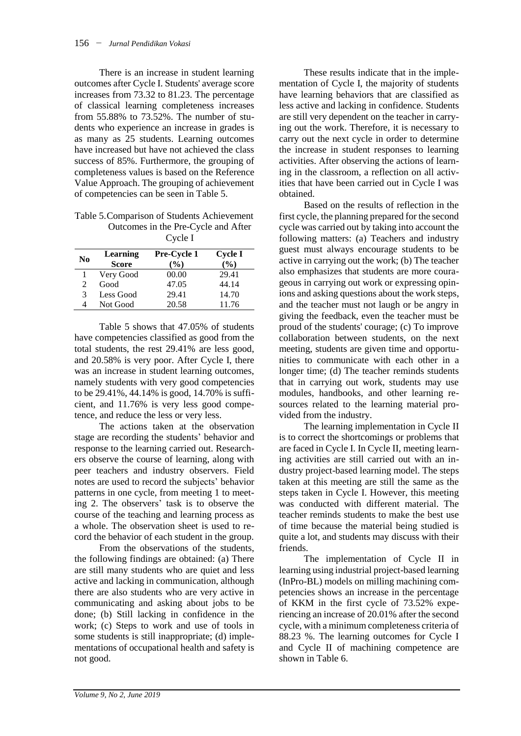There is an increase in student learning outcomes after Cycle I. Students' average score increases from 73.32 to 81.23. The percentage of classical learning completeness increases from 55.88% to 73.52%. The number of students who experience an increase in grades is as many as 25 students. Learning outcomes have increased but have not achieved the class success of 85%. Furthermore, the grouping of completeness values is based on the Reference Value Approach. The grouping of achievement of competencies can be seen in Table 5.

| Table 5. Comparison of Students Achievement |
|---------------------------------------------|
| Outcomes in the Pre-Cycle and After         |
| Cycle I                                     |

|          | - - - - -    |               |               |
|----------|--------------|---------------|---------------|
| $\bf No$ | Learning     | Pre-Cycle 1   | Cycle I       |
|          | <b>Score</b> | $\frac{6}{6}$ | $\frac{6}{6}$ |
|          | Very Good    | 00.00         | 29.41         |
| 2        | Good         | 47.05         | 44.14         |
| 3        | Less Good    | 29.41         | 14.70         |
| 4        | Not Good     | 20.58         | 11.76         |

Table 5 shows that 47.05% of students have competencies classified as good from the total students, the rest 29.41% are less good, and 20.58% is very poor. After Cycle I, there was an increase in student learning outcomes, namely students with very good competencies to be 29.41%, 44.14% is good, 14.70% is sufficient, and 11.76% is very less good competence, and reduce the less or very less.

The actions taken at the observation stage are recording the students' behavior and response to the learning carried out. Researchers observe the course of learning, along with peer teachers and industry observers. Field notes are used to record the subjects' behavior patterns in one cycle, from meeting 1 to meeting 2. The observers' task is to observe the course of the teaching and learning process as a whole. The observation sheet is used to record the behavior of each student in the group.

From the observations of the students, the following findings are obtained: (a) There are still many students who are quiet and less active and lacking in communication, although there are also students who are very active in communicating and asking about jobs to be done; (b) Still lacking in confidence in the work; (c) Steps to work and use of tools in some students is still inappropriate; (d) implementations of occupational health and safety is not good.

These results indicate that in the implementation of Cycle I, the majority of students have learning behaviors that are classified as less active and lacking in confidence. Students are still very dependent on the teacher in carrying out the work. Therefore, it is necessary to carry out the next cycle in order to determine the increase in student responses to learning activities. After observing the actions of learning in the classroom, a reflection on all activities that have been carried out in Cycle I was obtained.

Based on the results of reflection in the first cycle, the planning prepared for the second cycle was carried out by taking into account the following matters: (a) Teachers and industry guest must always encourage students to be active in carrying out the work; (b) The teacher also emphasizes that students are more courageous in carrying out work or expressing opinions and asking questions about the work steps, and the teacher must not laugh or be angry in giving the feedback, even the teacher must be proud of the students' courage; (c) To improve collaboration between students, on the next meeting, students are given time and opportunities to communicate with each other in a longer time; (d) The teacher reminds students that in carrying out work, students may use modules, handbooks, and other learning resources related to the learning material provided from the industry.

The learning implementation in Cycle II is to correct the shortcomings or problems that are faced in Cycle I. In Cycle II, meeting learning activities are still carried out with an industry project-based learning model. The steps taken at this meeting are still the same as the steps taken in Cycle I. However, this meeting was conducted with different material. The teacher reminds students to make the best use of time because the material being studied is quite a lot, and students may discuss with their friends.

The implementation of Cycle II in learning using industrial project-based learning (InPro-BL) models on milling machining competencies shows an increase in the percentage of KKM in the first cycle of 73.52% experiencing an increase of 20.01% after the second cycle, with a minimum completeness criteria of 88.23 %. The learning outcomes for Cycle I and Cycle II of machining competence are shown in Table 6.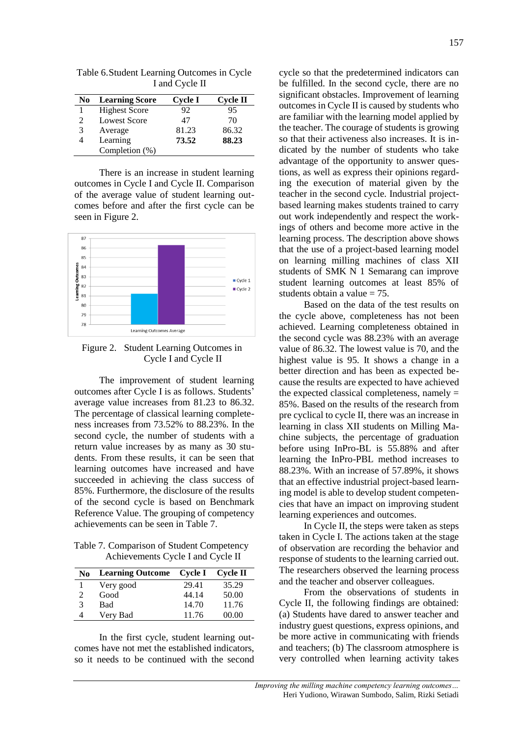I and Cycle II **No Learning Score Cycle I Cycle II**

Table 6.Student Learning Outcomes in Cycle

| NO | Learning Score       | Uycle 1 | Сусіе п |
|----|----------------------|---------|---------|
|    | <b>Highest Score</b> | 92      | 95      |
| 2  | Lowest Score         | 47      | 70      |
| 3  | Average              | 81.23   | 86.32   |
| 4  | Learning             | 73.52   | 88.23   |
|    | Completion $(\%)$    |         |         |

There is an increase in student learning outcomes in Cycle I and Cycle II. Comparison of the average value of student learning outcomes before and after the first cycle can be seen in Figure 2.



Figure 2. Student Learning Outcomes in Cycle I and Cycle II

The improvement of student learning outcomes after Cycle I is as follows. Students' average value increases from 81.23 to 86.32. The percentage of classical learning completeness increases from 73.52% to 88.23%. In the second cycle, the number of students with a return value increases by as many as 30 students. From these results, it can be seen that learning outcomes have increased and have succeeded in achieving the class success of 85%. Furthermore, the disclosure of the results of the second cycle is based on Benchmark Reference Value. The grouping of competency achievements can be seen in Table 7.

Table 7. Comparison of Student Competency Achievements Cycle I and Cycle II

| No. | <b>Learning Outcome</b> | Cycle I | Cvcle II |
|-----|-------------------------|---------|----------|
|     | Very good               | 29.41   | 35.29    |
|     | Good                    | 44.14   | 50.00    |
| 3   | Bad                     | 14.70   | 11.76    |
| 4   | Very Bad                | 11.76   | 00.00    |

In the first cycle, student learning outcomes have not met the established indicators, so it needs to be continued with the second cycle so that the predetermined indicators can be fulfilled. In the second cycle, there are no significant obstacles. Improvement of learning outcomes in Cycle II is caused by students who are familiar with the learning model applied by the teacher. The courage of students is growing so that their activeness also increases. It is indicated by the number of students who take advantage of the opportunity to answer questions, as well as express their opinions regarding the execution of material given by the teacher in the second cycle. Industrial projectbased learning makes students trained to carry out work independently and respect the workings of others and become more active in the learning process. The description above shows that the use of a project-based learning model on learning milling machines of class XII students of SMK N 1 Semarang can improve student learning outcomes at least 85% of students obtain a value  $= 75$ .

Based on the data of the test results on the cycle above, completeness has not been achieved. Learning completeness obtained in the second cycle was 88.23% with an average value of 86.32. The lowest value is 70, and the highest value is 95. It shows a change in a better direction and has been as expected because the results are expected to have achieved the expected classical completeness, namely  $=$ 85%. Based on the results of the research from pre cyclical to cycle II, there was an increase in learning in class XII students on Milling Machine subjects, the percentage of graduation before using InPro-BL is 55.88% and after learning the InPro-PBL method increases to 88.23%. With an increase of 57.89%, it shows that an effective industrial project-based learning model is able to develop student competencies that have an impact on improving student learning experiences and outcomes.

In Cycle II, the steps were taken as steps taken in Cycle I. The actions taken at the stage of observation are recording the behavior and response of students to the learning carried out. The researchers observed the learning process and the teacher and observer colleagues.

From the observations of students in Cycle II, the following findings are obtained: (a) Students have dared to answer teacher and industry guest questions, express opinions, and be more active in communicating with friends and teachers; (b) The classroom atmosphere is very controlled when learning activity takes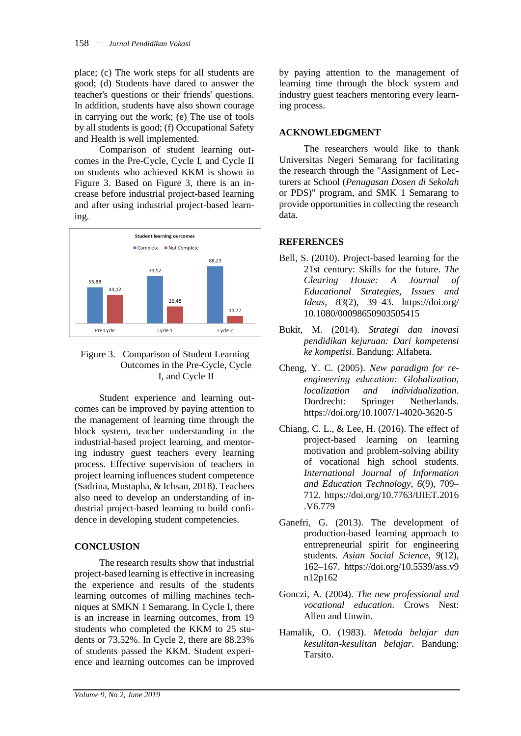place; (c) The work steps for all students are good; (d) Students have dared to answer the teacher's questions or their friends' questions. In addition, students have also shown courage in carrying out the work; (e) The use of tools by all students is good; (f) Occupational Safety and Health is well implemented.

Comparison of student learning outcomes in the Pre-Cycle, Cycle I, and Cycle II on students who achieved KKM is shown in Figure 3. Based on Figure 3, there is an increase before industrial project-based learning and after using industrial project-based learning.



Figure 3. Comparison of Student Learning Outcomes in the Pre-Cycle, Cycle I, and Cycle II

Student experience and learning outcomes can be improved by paying attention to the management of learning time through the block system, teacher understanding in the industrial-based project learning, and mentoring industry guest teachers every learning process. Effective supervision of teachers in project learning influences student competence (Sadrina, Mustapha, & Ichsan, 2018). Teachers also need to develop an understanding of industrial project-based learning to build confidence in developing student competencies.

# **CONCLUSION**

The research results show that industrial project-based learning is effective in increasing the experience and results of the students learning outcomes of milling machines techniques at SMKN 1 Semarang. In Cycle I, there is an increase in learning outcomes, from 19 students who completed the KKM to 25 students or 73.52%. In Cycle 2, there are 88.23% of students passed the KKM. Student experience and learning outcomes can be improved by paying attention to the management of learning time through the block system and industry guest teachers mentoring every learning process.

### **ACKNOWLEDGMENT**

The researchers would like to thank Universitas Negeri Semarang for facilitating the research through the "Assignment of Lecturers at School (*Penugasan Dosen di Sekolah* or PDS)" program, and SMK 1 Semarang to provide opportunities in collecting the research data.

# **REFERENCES**

- Bell, S. (2010). Project-based learning for the 21st century: Skills for the future. *The Clearing House: A Journal of Educational Strategies, Issues and Ideas*, *83*(2), 39–43. https://doi.org/ 10.1080/00098650903505415
- Bukit, M. (2014). *Strategi dan inovasi pendidikan kejuruan: Dari kompetensi ke kompetisi*. Bandung: Alfabeta.
- Cheng, Y. C. (2005). *New paradigm for reengineering education: Globalization, localization and individualization*. Dordrecht: Springer Netherlands. https://doi.org/10.1007/1-4020-3620-5
- Chiang, C. L., & Lee, H. (2016). The effect of project-based learning on learning motivation and problem-solving ability of vocational high school students. *International Journal of Information and Education Technology*, *6*(9), 709– 712. https://doi.org/10.7763/IJIET.2016 .V6.779
- Ganefri, G. (2013). The development of production-based learning approach to entrepreneurial spirit for engineering students. *Asian Social Science*, *9*(12), 162–167. https://doi.org/10.5539/ass.v9 n12p162
- Gonczi, A. (2004). *The new professional and vocational education*. Crows Nest: Allen and Unwin.
- Hamalik, O. (1983). *Metoda belajar dan kesulitan-kesulitan belajar*. Bandung: Tarsito.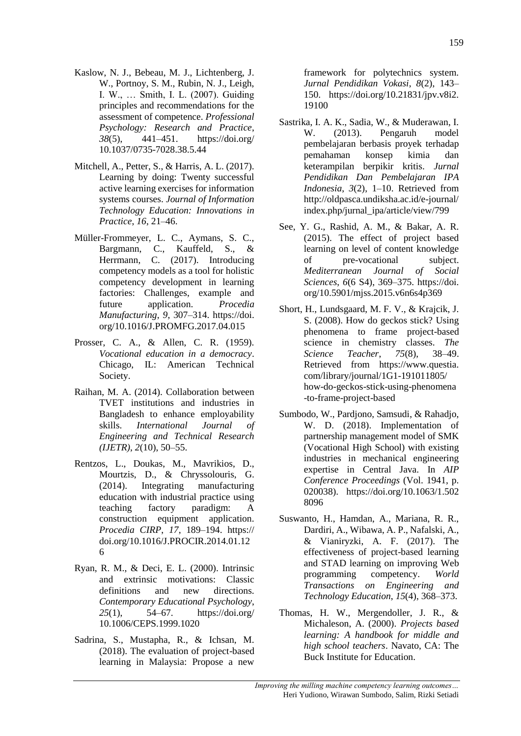- Kaslow, N. J., Bebeau, M. J., Lichtenberg, J. W., Portnoy, S. M., Rubin, N. J., Leigh, I. W., … Smith, I. L. (2007). Guiding principles and recommendations for the assessment of competence. *Professional Psychology: Research and Practice*, *38*(5), 441–451. https://doi.org/ 10.1037/0735-7028.38.5.44
- Mitchell, A., Petter, S., & Harris, A. L. (2017). Learning by doing: Twenty successful active learning exercises for information systems courses. *Journal of Information Technology Education: Innovations in Practice*, *16*, 21–46.
- Müller-Frommeyer, L. C., Aymans, S. C., Bargmann, C., Kauffeld, S., & Herrmann, C. (2017). Introducing competency models as a tool for holistic competency development in learning factories: Challenges, example and future application. *Procedia Manufacturing*, *9*, 307–314. https://doi. org/10.1016/J.PROMFG.2017.04.015
- Prosser, C. A., & Allen, C. R. (1959). *Vocational education in a democracy*. Chicago, IL: American Technical Society.
- Raihan, M. A. (2014). Collaboration between TVET institutions and industries in Bangladesh to enhance employability skills. *International Journal of Engineering and Technical Research (IJETR)*, *2*(10), 50–55.
- Rentzos, L., Doukas, M., Mavrikios, D., Mourtzis, D., & Chryssolouris, G. (2014). Integrating manufacturing education with industrial practice using teaching factory paradigm: A construction equipment application. *Procedia CIRP*, *17*, 189–194. https:// doi.org/10.1016/J.PROCIR.2014.01.12 6
- Ryan, R. M., & Deci, E. L. (2000). Intrinsic and extrinsic motivations: Classic definitions and new directions. *Contemporary Educational Psychology*, *25*(1), 54–67. https://doi.org/ 10.1006/CEPS.1999.1020
- Sadrina, S., Mustapha, R., & Ichsan, M. (2018). The evaluation of project-based learning in Malaysia: Propose a new

framework for polytechnics system. *Jurnal Pendidikan Vokasi*, *8*(2), 143– 150. https://doi.org/10.21831/jpv.v8i2. 19100

- Sastrika, I. A. K., Sadia, W., & Muderawan, I. W. (2013). Pengaruh model pembelajaran berbasis proyek terhadap pemahaman konsep kimia dan keterampilan berpikir kritis. *Jurnal Pendidikan Dan Pembelajaran IPA Indonesia*, *3*(2), 1–10. Retrieved from http://oldpasca.undiksha.ac.id/e-journal/ index.php/jurnal\_ipa/article/view/799
- See, Y. G., Rashid, A. M., & Bakar, A. R. (2015). The effect of project based learning on level of content knowledge of pre-vocational subject. *Mediterranean Journal of Social Sciences*, *6*(6 S4), 369–375. https://doi. org/10.5901/mjss.2015.v6n6s4p369
- Short, H., Lundsgaard, M. F. V., & Krajcik, J. S. (2008). How do geckos stick? Using phenomena to frame project-based science in chemistry classes. *The Science Teacher*, *75*(8), 38–49. Retrieved from https://www.questia. com/library/journal/1G1-191011805/ how-do-geckos-stick-using-phenomena -to-frame-project-based
- Sumbodo, W., Pardjono, Samsudi, & Rahadjo, W. D. (2018). Implementation of partnership management model of SMK (Vocational High School) with existing industries in mechanical engineering expertise in Central Java. In *AIP Conference Proceedings* (Vol. 1941, p. 020038). https://doi.org/10.1063/1.502 8096
- Suswanto, H., Hamdan, A., Mariana, R. R., Dardiri, A., Wibawa, A. P., Nafalski, A., & Vianiryzki, A. F. (2017). The effectiveness of project-based learning and STAD learning on improving Web programming competency. *World Transactions on Engineering and Technology Education*, *15*(4), 368–373.
- Thomas, H. W., Mergendoller, J. R., & Michaleson, A. (2000). *Projects based learning: A handbook for middle and high school teachers*. Navato, CA: The Buck Institute for Education.